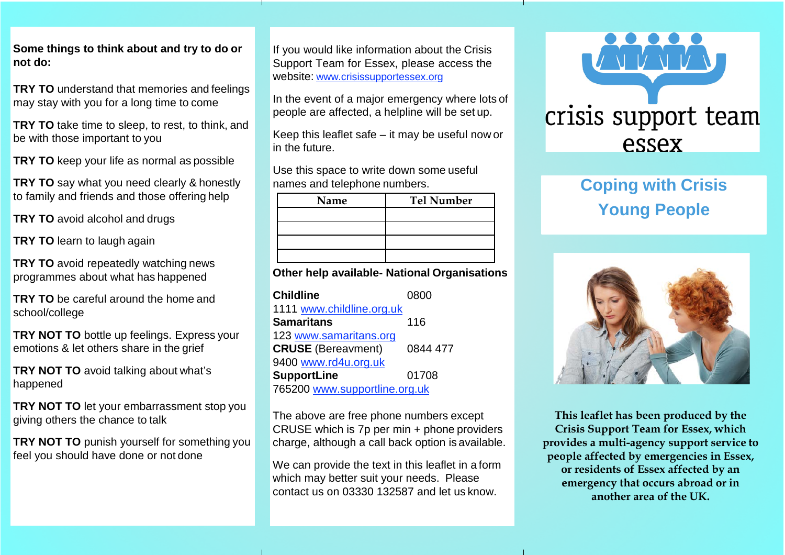**Some things to think about and try to do or not do:**

**TRY TO** understand that memories and feelings may stay with you for a long time to come

**TRY TO** take time to sleep, to rest, to think, and be with those important to you

**TRY TO** keep your life as normal as possible

**TRY TO** say what you need clearly & honestly to family and friends and those offering help

**TRY TO** avoid alcohol and drugs

**TRY TO** learn to laugh again

**TRY TO** avoid repeatedly watching news programmes about what has happened

**TRY TO** be careful around the home and school/college

**TRY NOT TO** bottle up feelings. Express your emotions & let others share in the grief

**TRY NOT TO** avoid talking about what's happened

**TRY NOT TO** let your embarrassment stop you giving others the chance to talk

**TRY NOT TO** punish yourself for something you feel you should have done or not done

If you would like information about the Crisis Support Team for Essex, please access the website: [www.crisissupportessex.org](http://www.crisissupportessex.org/)

In the event of a major emergency where lots of people are affected, a helpline will be set up.

Keep this leaflet safe – it may be useful now or in the future.

Use this space to write down some useful names and telephone numbers.

| Name | <b>Tel Number</b> |
|------|-------------------|
|      |                   |
|      |                   |
|      |                   |
|      |                   |

**Other help available- National Organisations**

| <b>Childline</b>              | 0800     |  |
|-------------------------------|----------|--|
| 1111 www.childline.org.uk     |          |  |
| <b>Samaritans</b>             | 116      |  |
| 123 www.samaritans.org        |          |  |
| <b>CRUSE</b> (Bereavment)     | 0844 477 |  |
| 9400 www.rd4u.org.uk          |          |  |
| <b>SupportLine</b>            | 01708    |  |
| 765200 www.supportline.org.uk |          |  |

The above are free phone numbers except CRUSE which is 7p per min + phone providers charge, although a call back option is available.

We can provide the text in this leaflet in a form which may better suit your needs. Please contact us on 03330 132587 and let us know.



# **Coping with Crisis Young People**



**This leaflet has been produced by the Crisis Support Team for Essex, which provides a multi-agency support service to people affected by emergencies in Essex, or residents of Essex affected by an emergency that occurs abroad or in another area of the UK.**